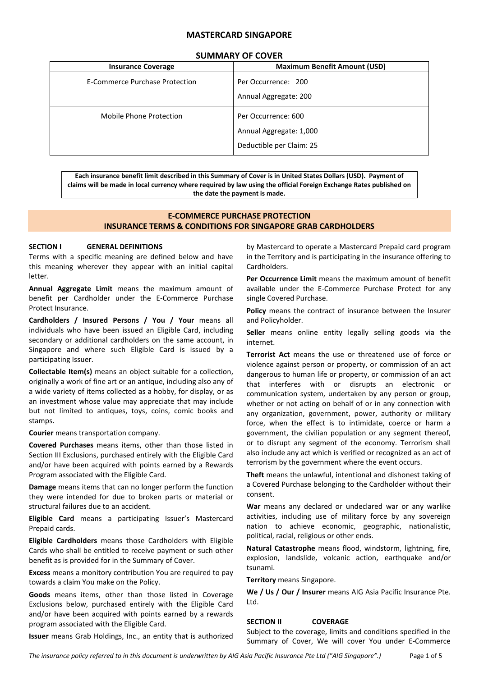# **MASTERCARD SINGAPORE**

| 991111111111 91 COVEN                 |                                                                            |
|---------------------------------------|----------------------------------------------------------------------------|
| <b>Insurance Coverage</b>             | <b>Maximum Benefit Amount (USD)</b>                                        |
| <b>E-Commerce Purchase Protection</b> | Per Occurrence: 200<br>Annual Aggregate: 200                               |
| Mobile Phone Protection               | Per Occurrence: 600<br>Annual Aggregate: 1,000<br>Deductible per Claim: 25 |

# **SUMMARY OF COVER**

**Each insurance benefit limit described in this Summary of Cover is in United States Dollars (USD). Payment of claims will be made in local currency where required by law using the official Foreign Exchange Rates published on the date the payment is made.**

## **E-COMMERCE PURCHASE PROTECTION INSURANCE TERMS & CONDITIONS FOR SINGAPORE GRAB CARDHOLDERS**

## **SECTION I GENERAL DEFINITIONS**

Terms with a specific meaning are defined below and have this meaning wherever they appear with an initial capital letter.

**Annual Aggregate Limit** means the maximum amount of benefit per Cardholder under the E-Commerce Purchase Protect Insurance.

**Cardholders / Insured Persons / You / Your** means all individuals who have been issued an Eligible Card, including secondary or additional cardholders on the same account, in Singapore and where such Eligible Card is issued by a participating Issuer.

**Collectable Item(s)** means an object suitable for a collection, originally a work of fine art or an antique, including also any of a wide variety of items collected as a hobby, for display, or as an investment whose value may appreciate that may include but not limited to antiques, toys, coins, comic books and stamps.

**Courier** means transportation company.

**Covered Purchases** means items, other than those listed in Section III Exclusions, purchased entirely with the Eligible Card and/or have been acquired with points earned by a Rewards Program associated with the Eligible Card.

**Damage** means items that can no longer perform the function they were intended for due to broken parts or material or structural failures due to an accident.

**Eligible Card** means a participating Issuer's Mastercard Prepaid cards.

**Eligible Cardholders** means those Cardholders with Eligible Cards who shall be entitled to receive payment or such other benefit as is provided for in the Summary of Cover.

**Excess** means a monitory contribution You are required to pay towards a claim You make on the Policy.

**Goods** means items, other than those listed in Coverage Exclusions below, purchased entirely with the Eligible Card and/or have been acquired with points earned by a rewards program associated with the Eligible Card.

**Issuer** means Grab Holdings, Inc., an entity that is authorized

by Mastercard to operate a Mastercard Prepaid card program in the Territory and is participating in the insurance offering to Cardholders.

**Per Occurrence Limit** means the maximum amount of benefit available under the E-Commerce Purchase Protect for any single Covered Purchase.

**Policy** means the contract of insurance between the Insurer and Policyholder.

**Seller** means online entity legally selling goods via the internet.

**Terrorist Act** means the use or threatened use of force or violence against person or property, or commission of an act dangerous to human life or property, or commission of an act that interferes with or disrupts an electronic or communication system, undertaken by any person or group, whether or not acting on behalf of or in any connection with any organization, government, power, authority or military force, when the effect is to intimidate, coerce or harm a government, the civilian population or any segment thereof, or to disrupt any segment of the economy. Terrorism shall also include any act which is verified or recognized as an act of terrorism by the government where the event occurs.

**Theft** means the unlawful, intentional and dishonest taking of a Covered Purchase belonging to the Cardholder without their consent.

**War** means any declared or undeclared war or any warlike activities, including use of military force by any sovereign nation to achieve economic, geographic, nationalistic, political, racial, religious or other ends.

**Natural Catastrophe** means flood, windstorm, lightning, fire, explosion, landslide, volcanic action, earthquake and/or tsunami.

**Territory** means Singapore.

**We / Us / Our / Insurer** means AIG Asia Pacific Insurance Pte. Ltd.

# **SECTION II COVERAGE**

Subject to the coverage, limits and conditions specified in the Summary of Cover, We will cover You under E-Commerce

*The insurance policy referred to in this document is underwritten by AIG Asia Pacific Insurance Pte Ltd ("AIG Singapore".)* Page 1 of 5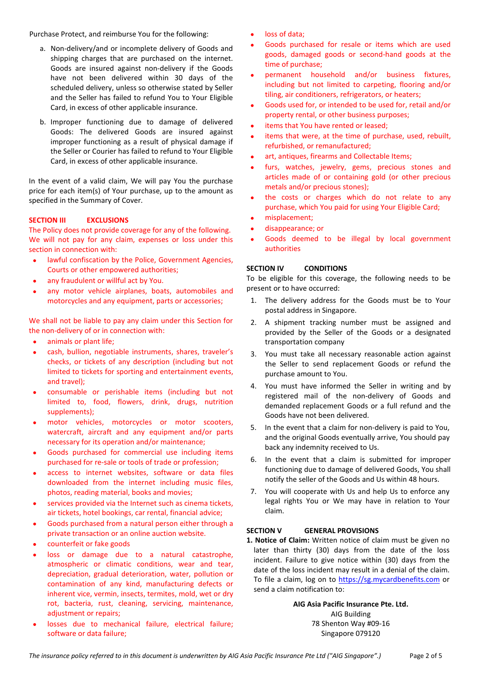Purchase Protect, and reimburse You for the following:

- a. Non-delivery/and or incomplete delivery of Goods and shipping charges that are purchased on the internet. Goods are insured against non-delivery if the Goods have not been delivered within 30 days of the scheduled delivery, unless so otherwise stated by Seller and the Seller has failed to refund You to Your Eligible Card, in excess of other applicable insurance.
- b. Improper functioning due to damage of delivered Goods: The delivered Goods are insured against improper functioning as a result of physical damage if the Seller or Courier has failed to refund to Your Eligible Card, in excess of other applicable insurance.

In the event of a valid claim, We will pay You the purchase price for each item(s) of Your purchase, up to the amount as specified in the Summary of Cover.

## **SECTION III EXCLUSIONS**

The Policy does not provide coverage for any of the following. We will not pay for any claim, expenses or loss under this section in connection with:

- lawful confiscation by the Police, Government Agencies, Courts or other empowered authorities;
- any fraudulent or willful act by You.
- any motor vehicle airplanes, boats, automobiles and motorcycles and any equipment, parts or accessories;

We shall not be liable to pay any claim under this Section for the non-delivery of or in connection with:

- animals or plant life;
- cash, bullion, negotiable instruments, shares, traveler's checks, or tickets of any description (including but not limited to tickets for sporting and entertainment events, and travel);
- consumable or perishable items (including but not limited to, food, flowers, drink, drugs, nutrition supplements);
- motor vehicles, motorcycles or motor scooters, watercraft, aircraft and any equipment and/or parts necessary for its operation and/or maintenance;
- Goods purchased for commercial use including items purchased for re-sale or tools of trade or profession;
- access to internet websites, software or data files downloaded from the internet including music files, photos, reading material, books and movies;
- services provided via the Internet such as cinema tickets, air tickets, hotel bookings, car rental, financial advice;
- Goods purchased from a natural person either through a private transaction or an online auction website.
- counterfeit or fake goods
- loss or damage due to a natural catastrophe, atmospheric or climatic conditions, wear and tear, depreciation, gradual deterioration, water, pollution or contamination of any kind, manufacturing defects or inherent vice, vermin, insects, termites, mold, wet or dry rot, bacteria, rust, cleaning, servicing, maintenance, adjustment or repairs;
- losses due to mechanical failure, electrical failure; software or data failure;
- loss of data:
- Goods purchased for resale or items which are used goods, damaged goods or second-hand goods at the time of purchase;
- permanent household and/or business fixtures, including but not limited to carpeting, flooring and/or tiling, air conditioners, refrigerators, or heaters;
- Goods used for, or intended to be used for, retail and/or property rental, or other business purposes;
- items that You have rented or leased;
- items that were, at the time of purchase, used, rebuilt, refurbished, or remanufactured;
- art, antiques, firearms and Collectable Items;
- furs, watches, jewelry, gems, precious stones and articles made of or containing gold (or other precious metals and/or precious stones);
- the costs or charges which do not relate to any purchase, which You paid for using Your Eligible Card;
- misplacement;
- disappearance; or
- Goods deemed to be illegal by local government authorities

## **SECTION IV CONDITIONS**

To be eligible for this coverage, the following needs to be present or to have occurred:

- 1. The delivery address for the Goods must be to Your postal address in Singapore.
- 2. A shipment tracking number must be assigned and provided by the Seller of the Goods or a designated transportation company
- 3. You must take all necessary reasonable action against the Seller to send replacement Goods or refund the purchase amount to You.
- 4. You must have informed the Seller in writing and by registered mail of the non-delivery of Goods and demanded replacement Goods or a full refund and the Goods have not been delivered.
- 5. In the event that a claim for non-delivery is paid to You, and the original Goods eventually arrive, You should pay back any indemnity received to Us.
- 6. In the event that a claim is submitted for improper functioning due to damage of delivered Goods, You shall notify the seller of the Goods and Us within 48 hours.
- 7. You will cooperate with Us and help Us to enforce any legal rights You or We may have in relation to Your claim.

# **SECTION V GENERAL PROVISIONS**

**1. Notice of Claim:** Written notice of claim must be given no later than thirty (30) days from the date of the loss incident. Failure to give notice within (30) days from the date of the loss incident may result in a denial of the claim. To file a claim, log on to [https://sg.mycardbenefits.com](https://sg.mycardbenefits.com/) or send a claim notification to:

> **AIG Asia Pacific Insurance Pte. Ltd.** AIG Building 78 Shenton Way #09-16 Singapore 079120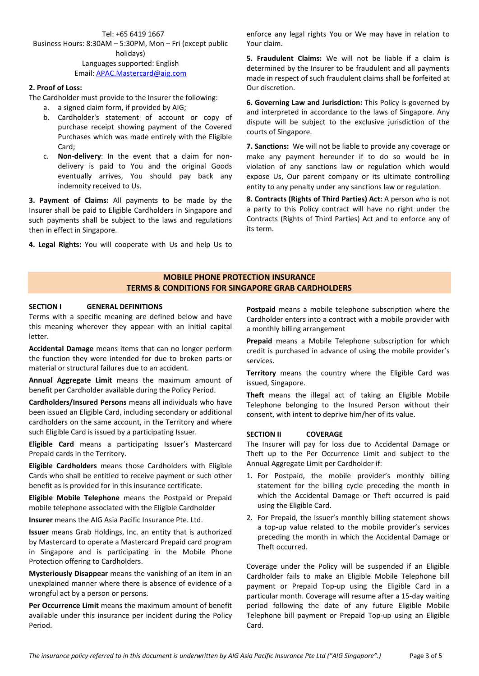Tel: +65 6419 1667 Business Hours: 8:30AM – 5:30PM, Mon – Fri (except public holidays) Languages supported: English Email: [APAC.Mastercard@aig.com](mailto:APAC.Mastercard@aig.com)

### **2. Proof of Loss:**

The Cardholder must provide to the Insurer the following:

- a. a signed claim form, if provided by AIG;
- b. Cardholder's statement of account or copy of purchase receipt showing payment of the Covered Purchases which was made entirely with the Eligible Card;
- c. **Non-delivery**: In the event that a claim for nondelivery is paid to You and the original Goods eventually arrives, You should pay back any indemnity received to Us.

**3. Payment of Claims:** All payments to be made by the Insurer shall be paid to Eligible Cardholders in Singapore and such payments shall be subject to the laws and regulations then in effect in Singapore.

**4. Legal Rights:** You will cooperate with Us and help Us to

enforce any legal rights You or We may have in relation to Your claim.

**5. Fraudulent Claims:** We will not be liable if a claim is determined by the Insurer to be fraudulent and all payments made in respect of such fraudulent claims shall be forfeited at Our discretion.

**6. Governing Law and Jurisdiction:** This Policy is governed by and interpreted in accordance to the laws of Singapore. Any dispute will be subject to the exclusive jurisdiction of the courts of Singapore.

**7. Sanctions:** We will not be liable to provide any coverage or make any payment hereunder if to do so would be in violation of any sanctions law or regulation which would expose Us, Our parent company or its ultimate controlling entity to any penalty under any sanctions law or regulation.

**8. Contracts (Rights of Third Parties) Act:** A person who is not a party to this Policy contract will have no right under the Contracts (Rights of Third Parties) Act and to enforce any of its term.

# **MOBILE PHONE PROTECTION INSURANCE TERMS & CONDITIONS FOR SINGAPORE GRAB CARDHOLDERS**

### **SECTION I GENERAL DEFINITIONS**

Terms with a specific meaning are defined below and have this meaning wherever they appear with an initial capital letter.

**Accidental Damage** means items that can no longer perform the function they were intended for due to broken parts or material or structural failures due to an accident.

**Annual Aggregate Limit** means the maximum amount of benefit per Cardholder available during the Policy Period.

**Cardholders/Insured Persons** means all individuals who have been issued an Eligible Card, including secondary or additional cardholders on the same account, in the Territory and where such Eligible Card is issued by a participating Issuer.

**Eligible Card** means a participating Issuer's Mastercard Prepaid cards in the Territory.

**Eligible Cardholders** means those Cardholders with Eligible Cards who shall be entitled to receive payment or such other benefit as is provided for in this insurance certificate.

**Eligible Mobile Telephone** means the Postpaid or Prepaid mobile telephone associated with the Eligible Cardholder

**Insurer** means the AIG Asia Pacific Insurance Pte. Ltd.

**Issuer** means Grab Holdings, Inc. an entity that is authorized by Mastercard to operate a Mastercard Prepaid card program in Singapore and is participating in the Mobile Phone Protection offering to Cardholders.

**Mysteriously Disappear** means the vanishing of an item in an unexplained manner where there is absence of evidence of a wrongful act by a person or persons.

**Per Occurrence Limit** means the maximum amount of benefit available under this insurance per incident during the Policy Period.

**Postpaid** means a mobile telephone subscription where the Cardholder enters into a contract with a mobile provider with a monthly billing arrangement

**Prepaid** means a Mobile Telephone subscription for which credit is purchased in advance of using the mobile provider's services.

**Territory** means the country where the Eligible Card was issued, Singapore.

**Theft** means the illegal act of taking an Eligible Mobile Telephone belonging to the Insured Person without their consent, with intent to deprive him/her of its value.

## **SECTION II COVERAGE**

The Insurer will pay for loss due to Accidental Damage or Theft up to the Per Occurrence Limit and subject to the Annual Aggregate Limit per Cardholder if:

- 1. For Postpaid, the mobile provider's monthly billing statement for the billing cycle preceding the month in which the Accidental Damage or Theft occurred is paid using the Eligible Card.
- 2. For Prepaid, the Issuer's monthly billing statement shows a top-up value related to the mobile provider's services preceding the month in which the Accidental Damage or Theft occurred.

Coverage under the Policy will be suspended if an Eligible Cardholder fails to make an Eligible Mobile Telephone bill payment or Prepaid Top-up using the Eligible Card in a particular month. Coverage will resume after a 15-day waiting period following the date of any future Eligible Mobile Telephone bill payment or Prepaid Top-up using an Eligible Card.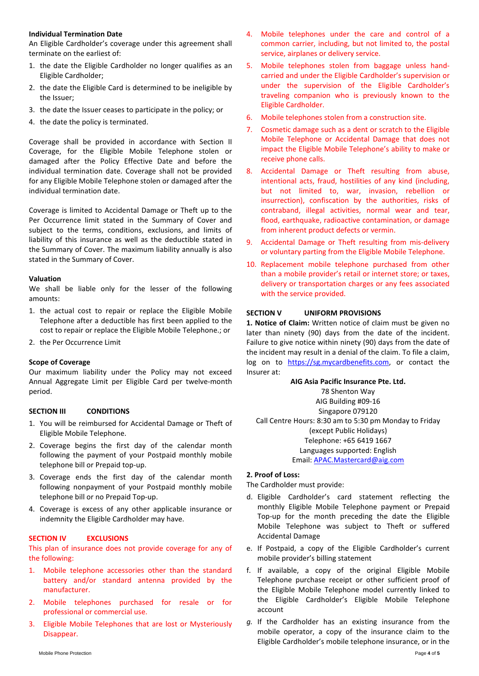### **Individual Termination Date**

An Eligible Cardholder's coverage under this agreement shall terminate on the earliest of:

- 1. the date the Eligible Cardholder no longer qualifies as an Eligible Cardholder;
- 2. the date the Eligible Card is determined to be ineligible by the Issuer;
- 3. the date the Issuer ceases to participate in the policy; or
- 4. the date the policy is terminated.

Coverage shall be provided in accordance with Section II Coverage, for the Eligible Mobile Telephone stolen or damaged after the Policy Effective Date and before the individual termination date. Coverage shall not be provided for any Eligible Mobile Telephone stolen or damaged after the individual termination date.

Coverage is limited to Accidental Damage or Theft up to the Per Occurrence limit stated in the Summary of Cover and subject to the terms, conditions, exclusions, and limits of liability of this insurance as well as the deductible stated in the Summary of Cover. The maximum liability annually is also stated in the Summary of Cover.

### **Valuation**

We shall be liable only for the lesser of the following amounts:

- 1. the actual cost to repair or replace the Eligible Mobile Telephone after a deductible has first been applied to the cost to repair or replace the Eligible Mobile Telephone.; or
- 2. the Per Occurrence Limit

#### **Scope of Coverage**

Our maximum liability under the Policy may not exceed Annual Aggregate Limit per Eligible Card per twelve-month period.

#### **SECTION III CONDITIONS**

- 1. You will be reimbursed for Accidental Damage or Theft of Eligible Mobile Telephone.
- 2. Coverage begins the first day of the calendar month following the payment of your Postpaid monthly mobile telephone bill or Prepaid top-up.
- 3. Coverage ends the first day of the calendar month following nonpayment of your Postpaid monthly mobile telephone bill or no Prepaid Top-up.
- 4. Coverage is excess of any other applicable insurance or indemnity the Eligible Cardholder may have.

## **SECTION IV EXCLUSIONS**

This plan of insurance does not provide coverage for any of the following:

- 1. Mobile telephone accessories other than the standard battery and/or standard antenna provided by the manufacturer.
- 2. Mobile telephones purchased for resale or for professional or commercial use.
- 3. Eligible Mobile Telephones that are lost or Mysteriously Disappear.
- 4. Mobile telephones under the care and control of a common carrier, including, but not limited to, the postal service, airplanes or delivery service.
- 5. Mobile telephones stolen from baggage unless handcarried and under the Eligible Cardholder's supervision or under the supervision of the Eligible Cardholder's traveling companion who is previously known to the Eligible Cardholder.
- 6. Mobile telephones stolen from a construction site.
- 7. Cosmetic damage such as a dent or scratch to the Eligible Mobile Telephone or Accidental Damage that does not impact the Eligible Mobile Telephone's ability to make or receive phone calls.
- 8. Accidental Damage or Theft resulting from abuse, intentional acts, fraud, hostilities of any kind (including, but not limited to, war, invasion, rebellion or insurrection), confiscation by the authorities, risks of contraband, illegal activities, normal wear and tear, flood, earthquake, radioactive contamination, or damage from inherent product defects or vermin.
- 9. Accidental Damage or Theft resulting from mis-delivery or voluntary parting from the Eligible Mobile Telephone.
- 10. Replacement mobile telephone purchased from other than a mobile provider's retail or internet store; or taxes, delivery or transportation charges or any fees associated with the service provided.

## **SECTION V UNIFORM PROVISIONS**

**1. Notice of Claim:** Written notice of claim must be given no later than ninety (90) days from the date of the incident. Failure to give notice within ninety (90) days from the date of the incident may result in a denial of the claim. To file a claim, log on to [https://sg.mycardbenefits.com,](https://sg.mycardbenefits.com/) or contact the Insurer at:

**AIG Asia Pacific Insurance Pte. Ltd.** 78 Shenton Way AIG Building #09-16 Singapore 079120 Call Centre Hours: 8:30 am to 5:30 pm Monday to Friday (except Public Holidays) Telephone: +65 6419 1667 Languages supported: English Email[: APAC.Mastercard@aig.com](mailto:APAC.Mastercard@aig.com/)

#### **2. Proof of Loss:**

The Cardholder must provide:

- d. Eligible Cardholder's card statement reflecting the monthly Eligible Mobile Telephone payment or Prepaid Top-up for the month preceding the date the Eligible Mobile Telephone was subject to Theft or suffered Accidental Damage
- e. If Postpaid, a copy of the Eligible Cardholder's current mobile provider's billing statement
- f. If available, a copy of the original Eligible Mobile Telephone purchase receipt or other sufficient proof of the Eligible Mobile Telephone model currently linked to the Eligible Cardholder's Eligible Mobile Telephone account
- *g.* If the Cardholder has an existing insurance from the mobile operator, a copy of the insurance claim to the Eligible Cardholder's mobile telephone insurance, or in the